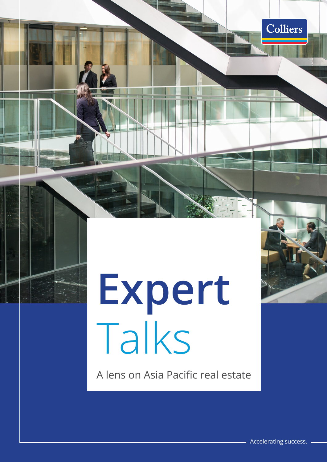# **Expert** Talks

A lens on Asia Pacific real estate

Colliers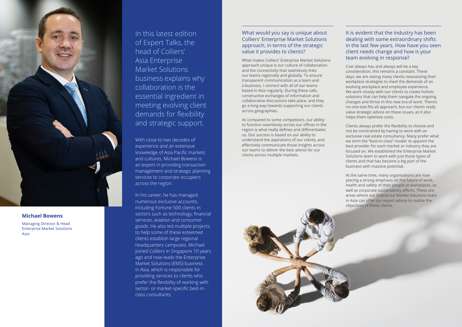In this latest edition of Expert Talks, the head of Colliers' Asia Enterprise Market Solutions business explains why collaboration is the essential ingredient in meeting evolving client demands for flexibility and strategic support.

With close to two decades of experience and an extensive knowledge of Asia Pacific markets and cultures, Michael Bowens is an expert in providing transaction management and strategic planning services to corporate occupiers across the region.

In his career, he has managed numerous exclusive accounts, including Fortune 500 clients in sectors such as technology, financial services, aviation and consumer goods. He also led multiple projects to help some of these esteemed clients establish large regional headquarters campuses. Michael joined Colliers in Singapore 10 years ago and now leads the Enterprise Market Solutions (EMS) business in Asia, which is responsible for providing services to clients who prefer the flexibility of working with sector- or market-specific best-inclass consultants.



#### **Michael Bowens**

Managing Director & Head Enterprise Market Solutions Asia

### What would you say is unique about Colliers' Enterprise Market Solutions approach, in terms of the strategic value it provides to clients?

What makes Colliers' Enterprise Market Solutions approach unique is our culture of collaboration and the connectivity that seamlessly links our teams regionally and globally. To ensure transparent communication as a team and a business, I connect with all of our teams based in Asia regularly. During these calls, constructive exchanges of information and collaborative discussions take place, and they go a long way towards supporting our clients across geographies.

As compared to some competitors, our ability to function seamlessly across our offices in the region is what really defines and differentiates us. Our success is based on our ability to understand the aspirations of our clients, and effectively communicate those insights across our teams to deliver the best advice for our clients across multiple markets.

#### It is evident that the industry has been dealing with some extraordinary shifts in the last few years. How have you seen client needs change and how is your team evolving in response?

Cost always has and always will be a key consideration, this remains a constant. These days, we are seeing many clients reassessing their workplace strategies to meet the demands of an evolving workplace and employee experience. We work closely with our clients to create holistic solutions that can help them navigate the ongoing changes and thrive in this new era of work. There's no one-size-fits-all approach, but our clients really value strategic advice on these issues, as it also helps them optimise costs.

Clients always prefer the flexibility to choose and not be constrained by having to work with an exclusive real estate consultancy. Many prefer what we term the "best-in-class" model: to appoint the best provider for each market or industry they are focused on. We established the Enterprise Market Solutions team to work with just those types of clients and that has become a big part of the business with massive potential.

At the same time, many organisations are now placing a strong emphasis on the future of work, health and safety of their people at workplaces, as well as corporate sustainability efforts. These are areas where our Enterprise Market Solutions team in Asia can offer our expert advice to realise the objectives of these clients.